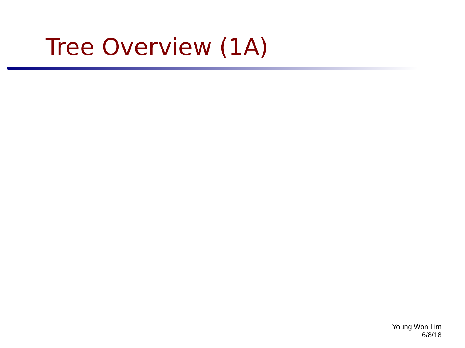# Tree Overview (1A)

Young Won Lim 6/8/18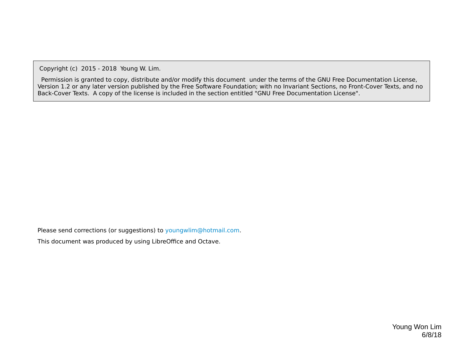Copyright (c) 2015 - 2018 Young W. Lim.

 Permission is granted to copy, distribute and/or modify this document under the terms of the GNU Free Documentation License, Version 1.2 or any later version published by the Free Software Foundation; with no Invariant Sections, no Front-Cover Texts, and no Back-Cover Texts. A copy of the license is included in the section entitled "GNU Free Documentation License".

Please send corrections (or suggestions) to [youngwlim@hotmail.com](mailto:youngwlim@hotmail.com).

This document was produced by using LibreOffice and Octave.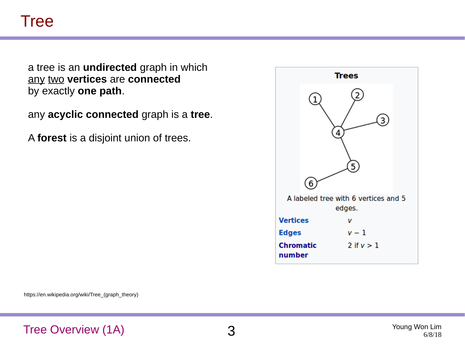### Tree

a tree is an **undirected** graph in which any two **vertices** are **connected** by exactly **one path**.

any **acyclic connected** graph is a **tree**.

A **forest** is a disjoint union of trees.

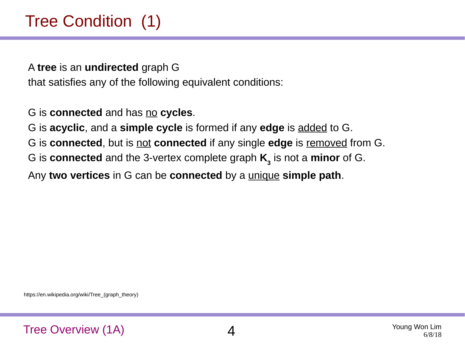A **tree** is an **undirected** graph G that satisfies any of the following equivalent conditions:

G is **connected** and has no **cycles**.

G is **acyclic**, and a **simple cycle** is formed if any **edge** is added to G.

G is **connected**, but is not **connected** if any single **edge** is removed from G.

G is **connected** and the 3-vertex complete graph **K<sup>3</sup>** is not a **minor** of G.

Any **two vertices** in G can be **connected** by a unique **simple path**.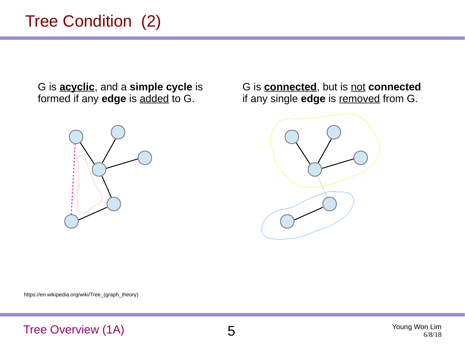# Tree Condition (2)

G is **acyclic**, and a **simple cycle** is formed if any **edge** is added to G.



G is **connected**, but is not **connected** if any single **edge** is removed from G.

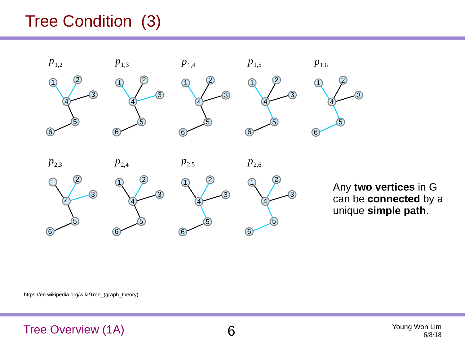# Tree Condition (3)



Any **two vertices** in G can be **connected** by a unique **simple path**.

https://en.wikipedia.org/wiki/Tree\_(graph\_theory)

#### Tree Overview (1A) 6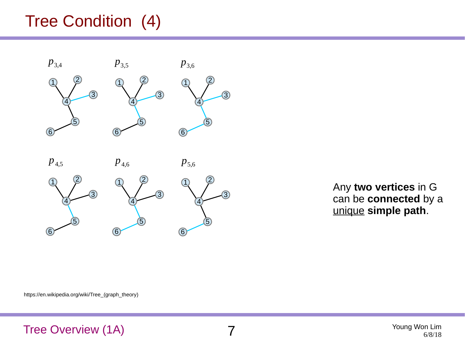# Tree Condition (4)



Any **two vertices** in G can be **connected** by a unique **simple path**.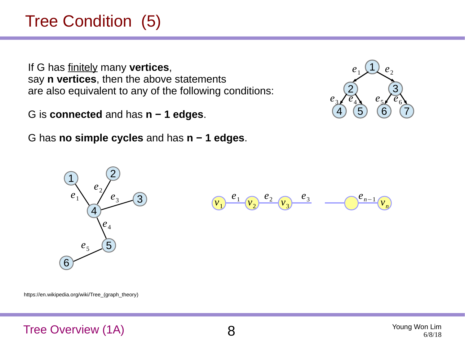# Tree Condition (5)

If G has finitely many **vertices**, say **n vertices**, then the above statements are also equivalent to any of the following conditions:

G is **connected** and has **n − 1 edges**.

G has **no simple cycles** and has **n − 1 edges**.





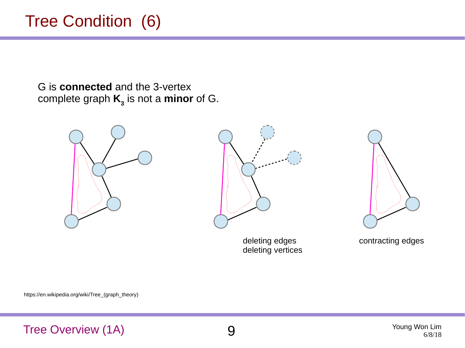# Tree Condition (6)

G is **connected** and the 3-vertex complete graph **K<sup>3</sup>** is not a **minor** of G.





deleting edges deleting vertices



contracting edges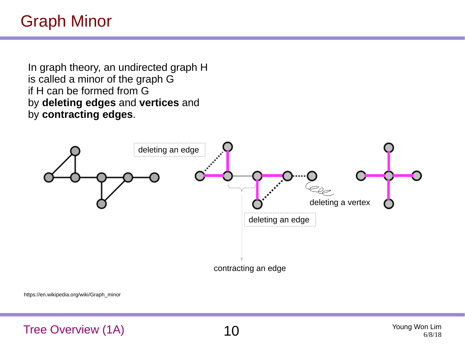In graph theory, an undirected graph H is called a minor of the graph G if H can be formed from G by **deleting edges** and **vertices** and by **contracting edges**.



https://en.wikipedia.org/wiki/Graph\_minor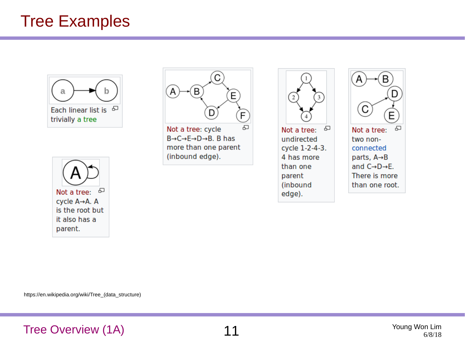### Tree Examples







Not a tree: cycle  $B \rightarrow C \rightarrow E \rightarrow D \rightarrow B$ . B has more than one parent (inbound edge).



Not a tree: æ undirected cycle 1-2-4-3. 4 has more than one parent (inbound edge).

B D C Έ  $\,\Box$ Not a tree: two nonconnected parts, A→B

and  $C \rightarrow D \rightarrow E$ . There is more than one root.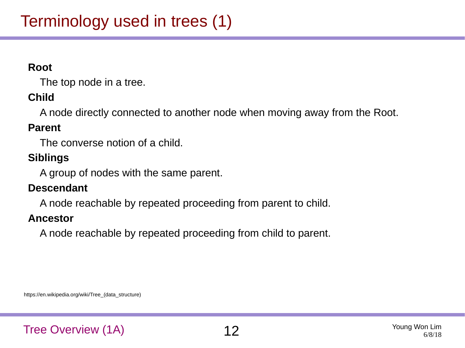#### **Root**

The top node in a tree.

#### **Child**

A node directly connected to another node when moving away from the Root.

#### **Parent**

The converse notion of a child.

#### **Siblings**

A group of nodes with the same parent.

#### **Descendant**

A node reachable by repeated proceeding from parent to child.

#### **Ancestor**

A node reachable by repeated proceeding from child to parent.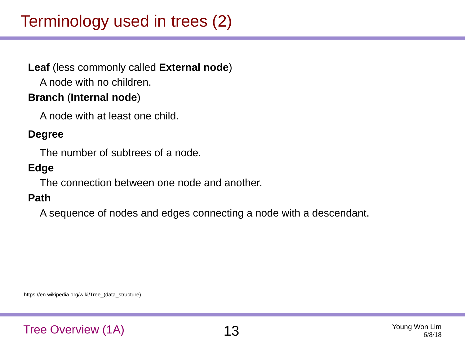# Terminology used in trees (2)

#### **Leaf** (less commonly called **External node**)

A node with no children.

#### **Branch** (**Internal node**)

A node with at least one child.

#### **Degree**

The number of subtrees of a node.

#### **Edge**

The connection between one node and another.

#### **Path**

A sequence of nodes and edges connecting a node with a descendant.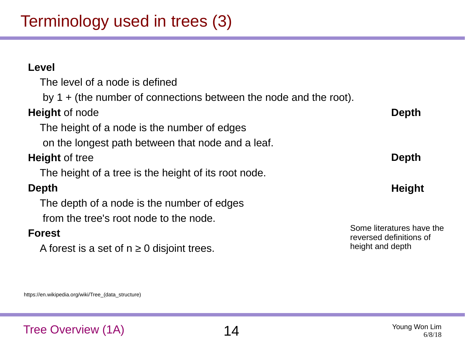# Terminology used in trees (3)

#### The level of a node is defined by 1 + (the number of connections between the node and the root). **Height** of node The height of a node is the number of edges on the longest path between that node and a leaf. **Height** of tree The height of a tree is the height of its root node. **Depth** The depth of a node is the number of edges from the tree's root node to the node. **Forest** A forest is a set of  $n \geq 0$  disjoint trees. Some literatures have the reversed definitions of height and depth **Depth Depth Height**

https://en.wikipedia.org/wiki/Tree\_(data\_structure)

**Level**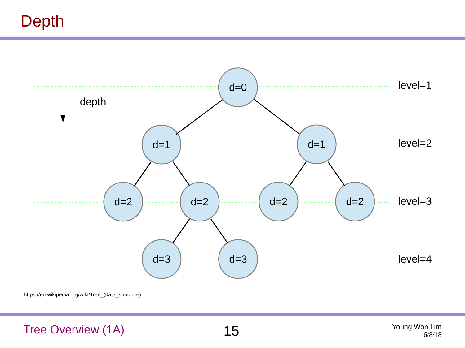# Depth

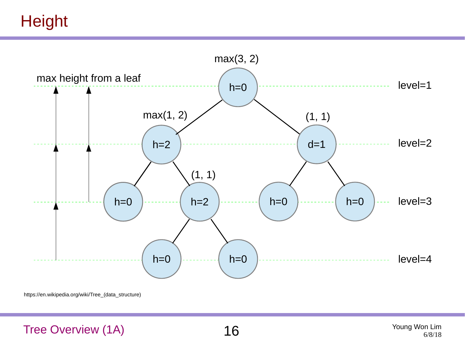**Height** 



https://en.wikipedia.org/wiki/Tree\_(data\_structure)

Tree Overview  $(1A)$   $16$  Young Won Lim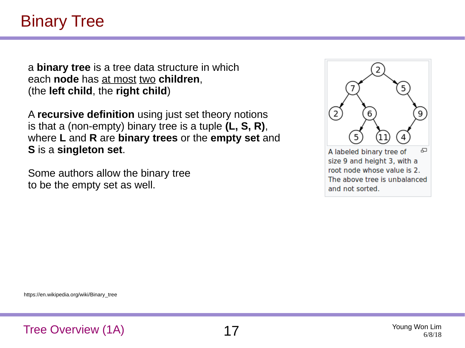## Binary Tree

a **binary tree** is a tree data structure in which each **node** has at most two **children**, (the **left child**, the **right child**)

A **recursive definition** using just set theory notions is that a (non-empty) binary tree is a tuple **(L, S, R)**, where **L** and **R** are **binary trees** or the **empty set** and **S** is a **singleton set**.

Some authors allow the binary tree to be the empty set as well.



https://en.wikipedia.org/wiki/Binary\_tree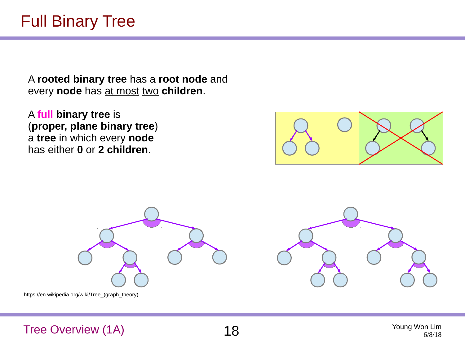A **rooted binary tree** has a **root node** and every **node** has at most two **children**.

A **full binary tree** is (**proper, plane binary tree**) a **tree** in which every **node** has either **0** or **2 children**.





Tree Overview (1A)  $18^{y}$  and  $18^{y}$  and  $18^{y}$  and  $18^{y}$  and  $18^{y}$  and  $18^{y}$  and  $18^{y}$  and  $18^{y}$  and  $18^{y}$  and  $18^{y}$  and  $18^{y}$  and  $18^{y}$  and  $18^{y}$  and  $18^{y}$  and  $18^{y}$  and  $18^{y}$  and  $18^{y}$  and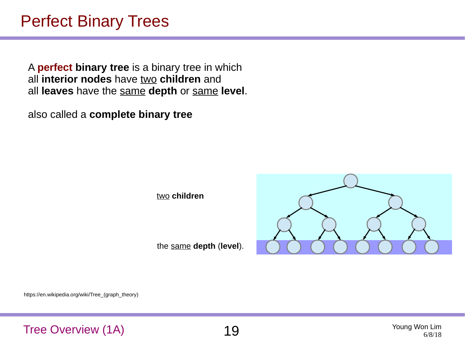### Perfect Binary Trees

A **perfect binary tree** is a binary tree in which all **interior nodes** have two **children** and all **leaves** have the same **depth** or same **level**.

also called a **complete binary tree**

two **children**

the same **depth** (**level**).

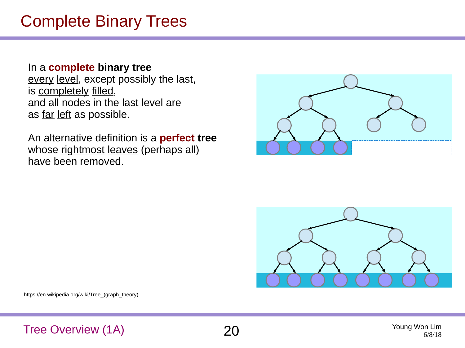# Complete Binary Trees

#### In a **complete binary tree**

every level, except possibly the last, is completely filled, and all nodes in the last level are as far left as possible.

An alternative definition is a **perfect tree** whose rightmost leaves (perhaps all) have been removed.





https://en.wikipedia.org/wiki/Tree\_(graph\_theory)

Tree Overview (1A) 20 Young Won Lim



6/8/18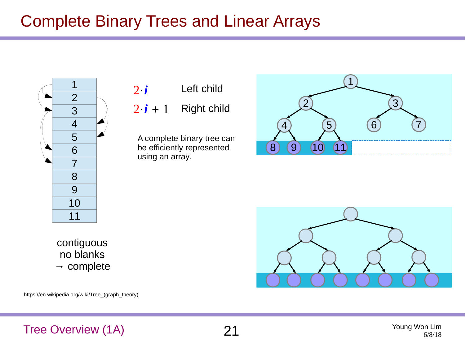# Complete Binary Trees and Linear Arrays



2⋅*i*  $2 \cdot i + 1$ Left child Right child

A complete binary tree can be efficiently represented using an array.





https://en.wikipedia.org/wiki/Tree\_(graph\_theory)



#### Tree Overview (1A) 21 Young Won Lim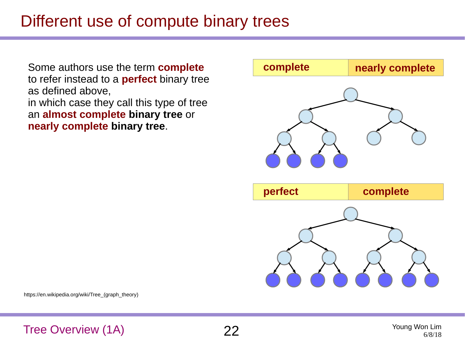# Different use of compute binary trees

Some authors use the term **complete** to refer instead to a **perfect** binary tree as defined above, in which case they call this type of tree an **almost complete binary tree** or **nearly complete binary tree**.



https://en.wikipedia.org/wiki/Tree\_(graph\_theory)

Tree Overview (1A) 22 Young Won Lim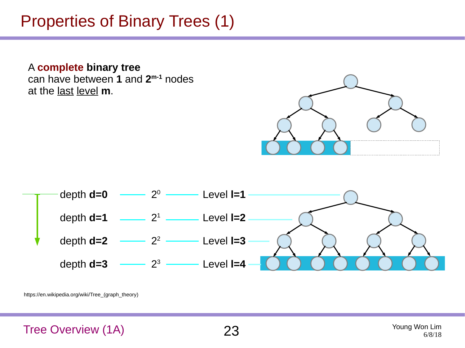# Properties of Binary Trees (1)

A **complete binary tree** can have between **1** and **2 m-1** nodes at the last level **m**.





https://en.wikipedia.org/wiki/Tree\_(graph\_theory)

Tree Overview (1A) 23 Young Won Lim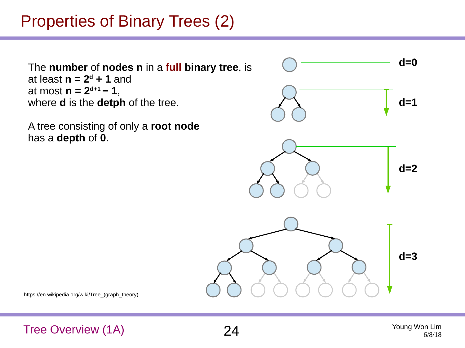# Properties of Binary Trees (2)

The **number** of **nodes n** in a **full binary tree**, is at least  $n = 2^d + 1$  and at most **n = 2d+1 − 1**, where **d** is the **detph** of the tree.

A tree consisting of only a **root node** has a **depth** of **0**.



https://en.wikipedia.org/wiki/Tree\_(graph\_theory)

Tree Overview (1A) 24 Young Won Lim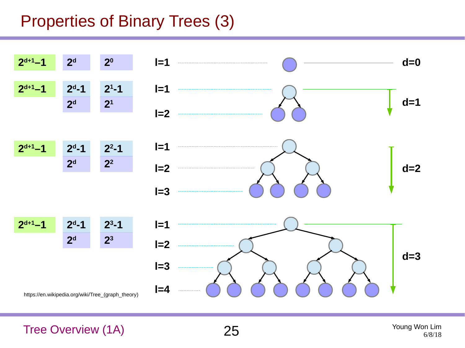# Properties of Binary Trees (3)

![](_page_24_Figure_1.jpeg)

Tree Overview (1A) 25 Young Won Lim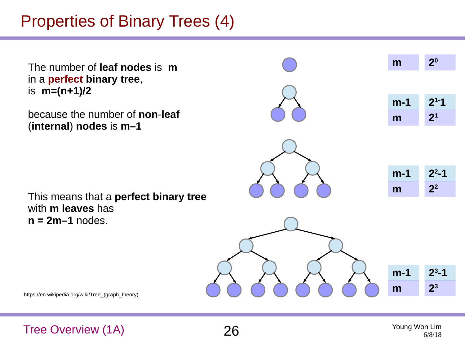# Properties of Binary Trees (4)

![](_page_25_Figure_1.jpeg)

Tree Overview (1A) 26 Young Won Lim